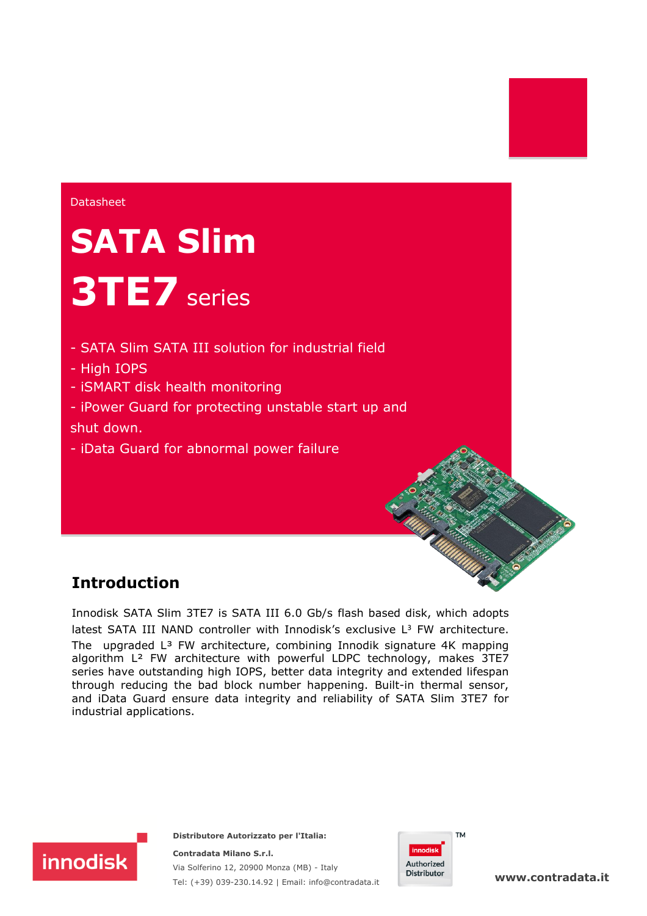**Datasheet** 

# **SATA Slim 3TE7** series

- SATA Slim SATA III solution for industrial field
- High IOPS
- iSMART disk health monitoring
- iPower Guard for protecting unstable start up and shut down.
- iData Guard for abnormal power failure

## **Introduction**

**innodisk** 

Innodisk SATA Slim 3TE7 is SATA III 6.0 Gb/s flash based disk, which adopts latest SATA III NAND controller with Innodisk's exclusive  $L<sup>3</sup>$  FW architecture. The upgraded  $L^3$  FW architecture, combining Innodik signature 4K mapping algorithm L² FW architecture with powerful LDPC technology, makes 3TE7 series have outstanding high IOPS, better data integrity and extended lifespan through reducing the bad block number happening. Built-in thermal sensor, and iData Guard ensure data integrity and reliability of SATA Slim 3TE7 for industrial applications.

> **Distributore Autorizzato per l'Italia: Contradata Milano S.r.l.**

Via Solferino 12, 20900 Monza (MB) - Italy

Tel: (+39) 039-230.14.92 | Email: [info@contradata.it](mailto:info@contradata.it)



**[www.contradata.it](http://www.contradata.it)**